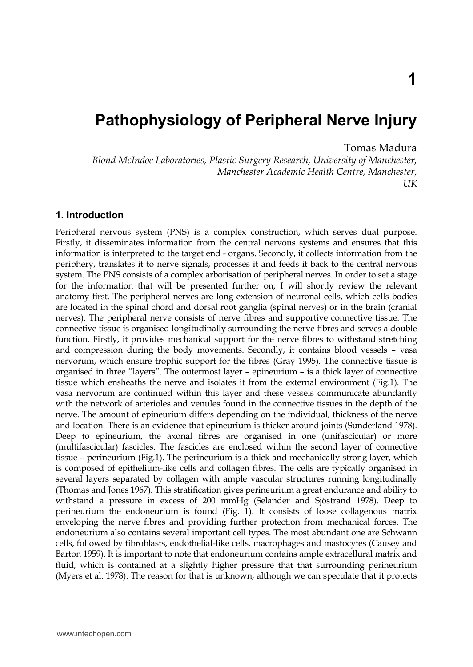# **Pathophysiology of Peripheral Nerve Injury**

Tomas Madura

*Blond McIndoe Laboratories, Plastic Surgery Research, University of Manchester, Manchester Academic Health Centre, Manchester, UK* 

#### **1. Introduction**

Peripheral nervous system (PNS) is a complex construction, which serves dual purpose. Firstly, it disseminates information from the central nervous systems and ensures that this information is interpreted to the target end - organs. Secondly, it collects information from the periphery, translates it to nerve signals, processes it and feeds it back to the central nervous system. The PNS consists of a complex arborisation of peripheral nerves. In order to set a stage for the information that will be presented further on, I will shortly review the relevant anatomy first. The peripheral nerves are long extension of neuronal cells, which cells bodies are located in the spinal chord and dorsal root ganglia (spinal nerves) or in the brain (cranial nerves). The peripheral nerve consists of nerve fibres and supportive connective tissue. The connective tissue is organised longitudinally surrounding the nerve fibres and serves a double function. Firstly, it provides mechanical support for the nerve fibres to withstand stretching and compression during the body movements. Secondly, it contains blood vessels – vasa nervorum, which ensure trophic support for the fibres (Gray 1995). The connective tissue is organised in three "layers". The outermost layer – epineurium – is a thick layer of connective tissue which ensheaths the nerve and isolates it from the external environment (Fig.1). The vasa nervorum are continued within this layer and these vessels communicate abundantly with the network of arterioles and venules found in the connective tissues in the depth of the nerve. The amount of epineurium differs depending on the individual, thickness of the nerve and location. There is an evidence that epineurium is thicker around joints (Sunderland 1978). Deep to epineurium, the axonal fibres are organised in one (unifascicular) or more (multifascicular) fascicles. The fascicles are enclosed within the second layer of connective tissue – perineurium (Fig.1). The perineurium is a thick and mechanically strong layer, which is composed of epithelium-like cells and collagen fibres. The cells are typically organised in several layers separated by collagen with ample vascular structures running longitudinally (Thomas and Jones 1967). This stratification gives perineurium a great endurance and ability to withstand a pressure in excess of 200 mmHg (Selander and Sjöstrand 1978). Deep to perineurium the endoneurium is found (Fig. 1). It consists of loose collagenous matrix enveloping the nerve fibres and providing further protection from mechanical forces. The endoneurium also contains several important cell types. The most abundant one are Schwann cells, followed by fibroblasts, endothelial-like cells, macrophages and mastocytes (Causey and Barton 1959). It is important to note that endoneurium contains ample extracellural matrix and fluid, which is contained at a slightly higher pressure that that surrounding perineurium (Myers et al. 1978). The reason for that is unknown, although we can speculate that it protects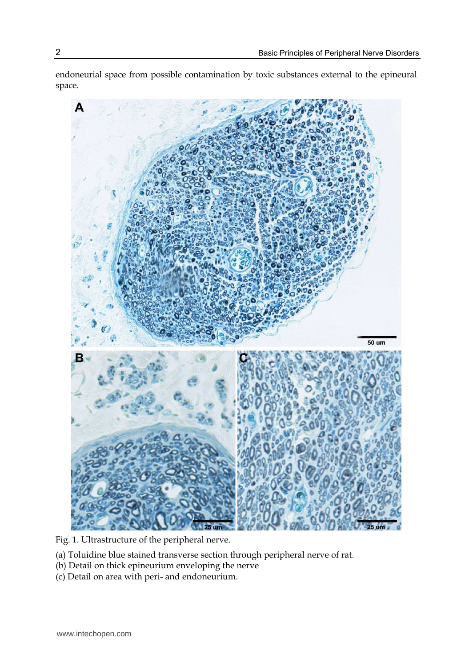endoneurial space from possible contamination by toxic substances external to the epineural space.



Fig. 1. Ultrastructure of the peripheral nerve.

- (a) Toluidine blue stained transverse section through peripheral nerve of rat.
- (b) Detail on thick epineurium enveloping the nerve
- (c) Detail on area with peri- and endoneurium.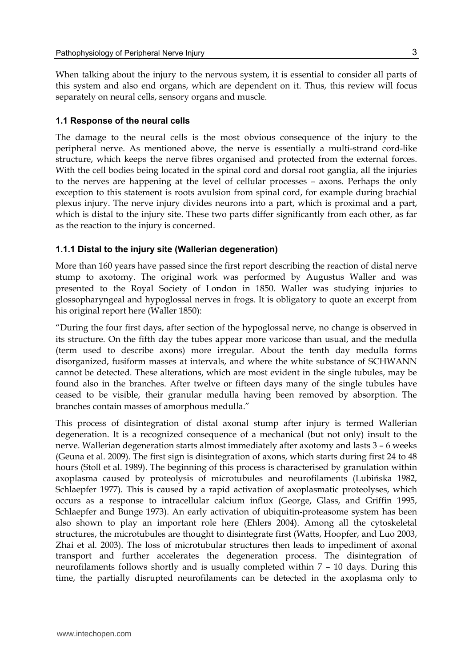When talking about the injury to the nervous system, it is essential to consider all parts of this system and also end organs, which are dependent on it. Thus, this review will focus separately on neural cells, sensory organs and muscle.

#### **1.1 Response of the neural cells**

The damage to the neural cells is the most obvious consequence of the injury to the peripheral nerve. As mentioned above, the nerve is essentially a multi-strand cord-like structure, which keeps the nerve fibres organised and protected from the external forces. With the cell bodies being located in the spinal cord and dorsal root ganglia, all the injuries to the nerves are happening at the level of cellular processes – axons. Perhaps the only exception to this statement is roots avulsion from spinal cord, for example during brachial plexus injury. The nerve injury divides neurons into a part, which is proximal and a part, which is distal to the injury site. These two parts differ significantly from each other, as far as the reaction to the injury is concerned.

#### **1.1.1 Distal to the injury site (Wallerian degeneration)**

More than 160 years have passed since the first report describing the reaction of distal nerve stump to axotomy. The original work was performed by Augustus Waller and was presented to the Royal Society of London in 1850. Waller was studying injuries to glossopharyngeal and hypoglossal nerves in frogs. It is obligatory to quote an excerpt from his original report here (Waller 1850):

"During the four first days, after section of the hypoglossal nerve, no change is observed in its structure. On the fifth day the tubes appear more varicose than usual, and the medulla (term used to describe axons) more irregular. About the tenth day medulla forms disorganized, fusiform masses at intervals, and where the white substance of SCHWANN cannot be detected. These alterations, which are most evident in the single tubules, may be found also in the branches. After twelve or fifteen days many of the single tubules have ceased to be visible, their granular medulla having been removed by absorption. The branches contain masses of amorphous medulla."

This process of disintegration of distal axonal stump after injury is termed Wallerian degeneration. It is a recognized consequence of a mechanical (but not only) insult to the nerve. Wallerian degeneration starts almost immediately after axotomy and lasts 3 – 6 weeks (Geuna et al. 2009). The first sign is disintegration of axons, which starts during first 24 to 48 hours (Stoll et al. 1989). The beginning of this process is characterised by granulation within axoplasma caused by proteolysis of microtubules and neurofilaments (Lubińska 1982, Schlaepfer 1977). This is caused by a rapid activation of axoplasmatic proteolyses, which occurs as a response to intracellular calcium influx (George, Glass, and Griffin 1995, Schlaepfer and Bunge 1973). An early activation of ubiquitin-proteasome system has been also shown to play an important role here (Ehlers 2004). Among all the cytoskeletal structures, the microtubules are thought to disintegrate first (Watts, Hoopfer, and Luo 2003, Zhai et al. 2003). The loss of microtubular structures then leads to impediment of axonal transport and further accelerates the degeneration process. The disintegration of neurofilaments follows shortly and is usually completed within 7 – 10 days. During this time, the partially disrupted neurofilaments can be detected in the axoplasma only to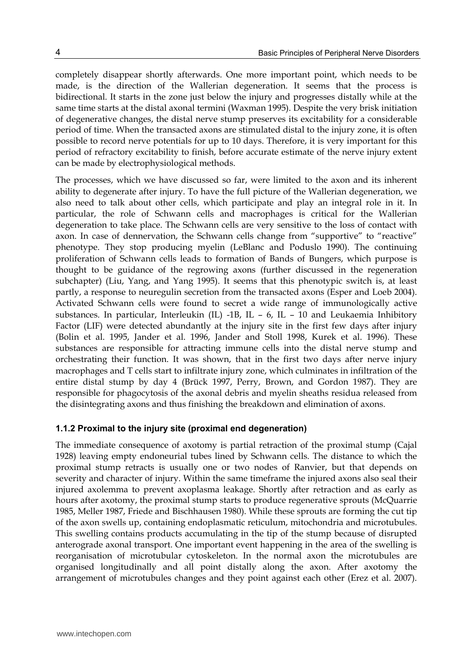completely disappear shortly afterwards. One more important point, which needs to be made, is the direction of the Wallerian degeneration. It seems that the process is bidirectional. It starts in the zone just below the injury and progresses distally while at the same time starts at the distal axonal termini (Waxman 1995). Despite the very brisk initiation of degenerative changes, the distal nerve stump preserves its excitability for a considerable period of time. When the transacted axons are stimulated distal to the injury zone, it is often possible to record nerve potentials for up to 10 days. Therefore, it is very important for this period of refractory excitability to finish, before accurate estimate of the nerve injury extent can be made by electrophysiological methods.

The processes, which we have discussed so far, were limited to the axon and its inherent ability to degenerate after injury. To have the full picture of the Wallerian degeneration, we also need to talk about other cells, which participate and play an integral role in it. In particular, the role of Schwann cells and macrophages is critical for the Wallerian degeneration to take place. The Schwann cells are very sensitive to the loss of contact with axon. In case of dennervation, the Schwann cells change from "supportive" to "reactive" phenotype. They stop producing myelin (LeBlanc and Poduslo 1990). The continuing proliferation of Schwann cells leads to formation of Bands of Bungers, which purpose is thought to be guidance of the regrowing axons (further discussed in the regeneration subchapter) (Liu, Yang, and Yang 1995). It seems that this phenotypic switch is, at least partly, a response to neuregulin secretion from the transacted axons (Esper and Loeb 2004). Activated Schwann cells were found to secret a wide range of immunologically active substances. In particular, Interleukin (IL) -1B, IL - 6, IL - 10 and Leukaemia Inhibitory Factor (LIF) were detected abundantly at the injury site in the first few days after injury (Bolin et al. 1995, Jander et al. 1996, Jander and Stoll 1998, Kurek et al. 1996). These substances are responsible for attracting immune cells into the distal nerve stump and orchestrating their function. It was shown, that in the first two days after nerve injury macrophages and T cells start to infiltrate injury zone, which culminates in infiltration of the entire distal stump by day 4 (Brück 1997, Perry, Brown, and Gordon 1987). They are responsible for phagocytosis of the axonal debris and myelin sheaths residua released from the disintegrating axons and thus finishing the breakdown and elimination of axons.

#### **1.1.2 Proximal to the injury site (proximal end degeneration)**

The immediate consequence of axotomy is partial retraction of the proximal stump (Cajal 1928) leaving empty endoneurial tubes lined by Schwann cells. The distance to which the proximal stump retracts is usually one or two nodes of Ranvier, but that depends on severity and character of injury. Within the same timeframe the injured axons also seal their injured axolemma to prevent axoplasma leakage. Shortly after retraction and as early as hours after axotomy, the proximal stump starts to produce regenerative sprouts (McQuarrie 1985, Meller 1987, Friede and Bischhausen 1980). While these sprouts are forming the cut tip of the axon swells up, containing endoplasmatic reticulum, mitochondria and microtubules. This swelling contains products accumulating in the tip of the stump because of disrupted anterograde axonal transport. One important event happening in the area of the swelling is reorganisation of microtubular cytoskeleton. In the normal axon the microtubules are organised longitudinally and all point distally along the axon. After axotomy the arrangement of microtubules changes and they point against each other (Erez et al. 2007).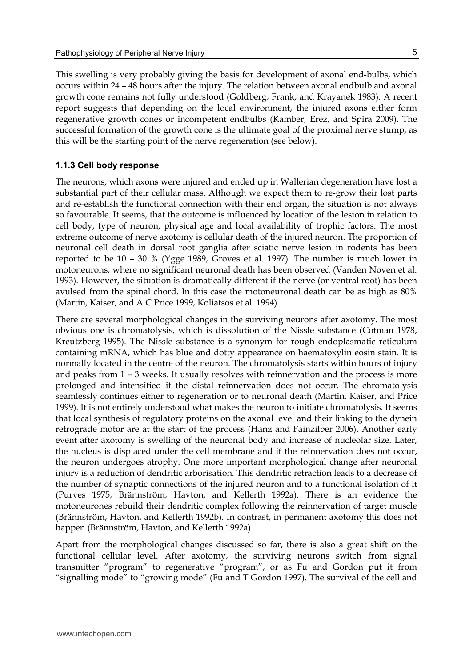This swelling is very probably giving the basis for development of axonal end-bulbs, which occurs within 24 – 48 hours after the injury. The relation between axonal endbulb and axonal growth cone remains not fully understood (Goldberg, Frank, and Krayanek 1983). A recent report suggests that depending on the local environment, the injured axons either form regenerative growth cones or incompetent endbulbs (Kamber, Erez, and Spira 2009). The successful formation of the growth cone is the ultimate goal of the proximal nerve stump, as this will be the starting point of the nerve regeneration (see below).

#### **1.1.3 Cell body response**

The neurons, which axons were injured and ended up in Wallerian degeneration have lost a substantial part of their cellular mass. Although we expect them to re-grow their lost parts and re-establish the functional connection with their end organ, the situation is not always so favourable. It seems, that the outcome is influenced by location of the lesion in relation to cell body, type of neuron, physical age and local availability of trophic factors. The most extreme outcome of nerve axotomy is cellular death of the injured neuron. The proportion of neuronal cell death in dorsal root ganglia after sciatic nerve lesion in rodents has been reported to be 10 – 30 % (Ygge 1989, Groves et al. 1997). The number is much lower in motoneurons, where no significant neuronal death has been observed (Vanden Noven et al. 1993). However, the situation is dramatically different if the nerve (or ventral root) has been avulsed from the spinal chord. In this case the motoneuronal death can be as high as 80% (Martin, Kaiser, and A C Price 1999, Koliatsos et al. 1994).

There are several morphological changes in the surviving neurons after axotomy. The most obvious one is chromatolysis, which is dissolution of the Nissle substance (Cotman 1978, Kreutzberg 1995). The Nissle substance is a synonym for rough endoplasmatic reticulum containing mRNA, which has blue and dotty appearance on haematoxylin eosin stain. It is normally located in the centre of the neuron. The chromatolysis starts within hours of injury and peaks from 1 – 3 weeks. It usually resolves with reinnervation and the process is more prolonged and intensified if the distal reinnervation does not occur. The chromatolysis seamlessly continues either to regeneration or to neuronal death (Martin, Kaiser, and Price 1999). It is not entirely understood what makes the neuron to initiate chromatolysis. It seems that local synthesis of regulatory proteins on the axonal level and their linking to the dynein retrograde motor are at the start of the process (Hanz and Fainzilber 2006). Another early event after axotomy is swelling of the neuronal body and increase of nucleolar size. Later, the nucleus is displaced under the cell membrane and if the reinnervation does not occur, the neuron undergoes atrophy. One more important morphological change after neuronal injury is a reduction of dendritic arborisation. This dendritic retraction leads to a decrease of the number of synaptic connections of the injured neuron and to a functional isolation of it (Purves 1975, Brännström, Havton, and Kellerth 1992a). There is an evidence the motoneurones rebuild their dendritic complex following the reinnervation of target muscle (Brännström, Havton, and Kellerth 1992b). In contrast, in permanent axotomy this does not happen (Brännström, Havton, and Kellerth 1992a).

Apart from the morphological changes discussed so far, there is also a great shift on the functional cellular level. After axotomy, the surviving neurons switch from signal transmitter "program" to regenerative "program", or as Fu and Gordon put it from "signalling mode" to "growing mode" (Fu and T Gordon 1997). The survival of the cell and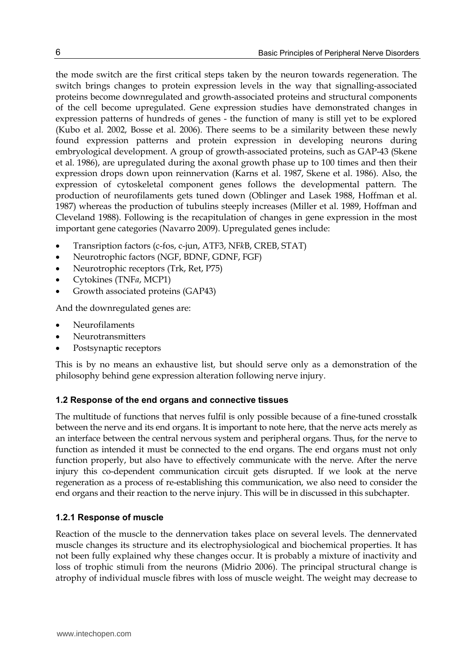the mode switch are the first critical steps taken by the neuron towards regeneration. The switch brings changes to protein expression levels in the way that signalling-associated proteins become downregulated and growth-associated proteins and structural components of the cell become upregulated. Gene expression studies have demonstrated changes in expression patterns of hundreds of genes - the function of many is still yet to be explored (Kubo et al. 2002, Bosse et al. 2006). There seems to be a similarity between these newly found expression patterns and protein expression in developing neurons during embryological development. A group of growth-associated proteins, such as GAP-43 (Skene et al. 1986), are upregulated during the axonal growth phase up to 100 times and then their expression drops down upon reinnervation (Karns et al. 1987, Skene et al. 1986). Also, the expression of cytoskeletal component genes follows the developmental pattern. The production of neurofilaments gets tuned down (Oblinger and Lasek 1988, Hoffman et al. 1987) whereas the production of tubulins steeply increases (Miller et al. 1989, Hoffman and Cleveland 1988). Following is the recapitulation of changes in gene expression in the most important gene categories (Navarro 2009). Upregulated genes include:

- Transription factors (c-fos, c-jun, ATF3, NF*k*B, CREB, STAT)
- Neurotrophic factors (NGF, BDNF, GDNF, FGF)
- Neurotrophic receptors (Trk, Ret, P75)
- Cytokines (TNF*a*, MCP1)
- Growth associated proteins (GAP43)

And the downregulated genes are:

- Neurofilaments
- Neurotransmitters
- Postsynaptic receptors

This is by no means an exhaustive list, but should serve only as a demonstration of the philosophy behind gene expression alteration following nerve injury.

# **1.2 Response of the end organs and connective tissues**

The multitude of functions that nerves fulfil is only possible because of a fine-tuned crosstalk between the nerve and its end organs. It is important to note here, that the nerve acts merely as an interface between the central nervous system and peripheral organs. Thus, for the nerve to function as intended it must be connected to the end organs. The end organs must not only function properly, but also have to effectively communicate with the nerve. After the nerve injury this co-dependent communication circuit gets disrupted. If we look at the nerve regeneration as a process of re-establishing this communication, we also need to consider the end organs and their reaction to the nerve injury. This will be in discussed in this subchapter.

# **1.2.1 Response of muscle**

Reaction of the muscle to the dennervation takes place on several levels. The dennervated muscle changes its structure and its electrophysiological and biochemical properties. It has not been fully explained why these changes occur. It is probably a mixture of inactivity and loss of trophic stimuli from the neurons (Midrio 2006). The principal structural change is atrophy of individual muscle fibres with loss of muscle weight. The weight may decrease to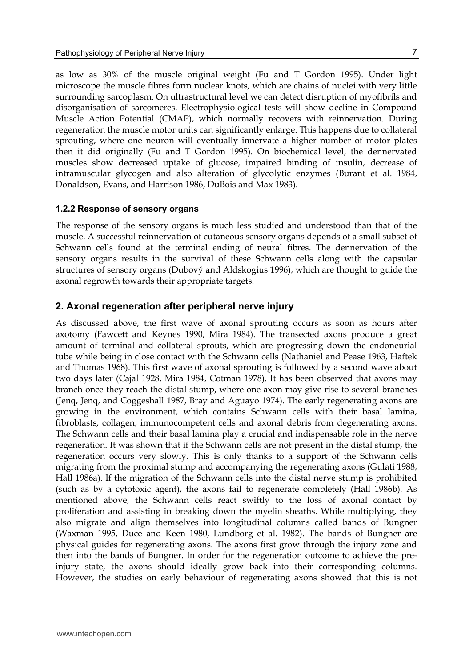as low as 30% of the muscle original weight (Fu and T Gordon 1995). Under light microscope the muscle fibres form nuclear knots, which are chains of nuclei with very little surrounding sarcoplasm. On ultrastructural level we can detect disruption of myofibrils and disorganisation of sarcomeres. Electrophysiological tests will show decline in Compound Muscle Action Potential (CMAP), which normally recovers with reinnervation. During regeneration the muscle motor units can significantly enlarge. This happens due to collateral sprouting, where one neuron will eventually innervate a higher number of motor plates then it did originally (Fu and T Gordon 1995). On biochemical level, the dennervated muscles show decreased uptake of glucose, impaired binding of insulin, decrease of intramuscular glycogen and also alteration of glycolytic enzymes (Burant et al. 1984, Donaldson, Evans, and Harrison 1986, DuBois and Max 1983).

#### **1.2.2 Response of sensory organs**

The response of the sensory organs is much less studied and understood than that of the muscle. A successful reinnervation of cutaneous sensory organs depends of a small subset of Schwann cells found at the terminal ending of neural fibres. The dennervation of the sensory organs results in the survival of these Schwann cells along with the capsular structures of sensory organs (Dubový and Aldskogius 1996), which are thought to guide the axonal regrowth towards their appropriate targets.

#### **2. Axonal regeneration after peripheral nerve injury**

As discussed above, the first wave of axonal sprouting occurs as soon as hours after axotomy (Fawcett and Keynes 1990, Mira 1984). The transected axons produce a great amount of terminal and collateral sprouts, which are progressing down the endoneurial tube while being in close contact with the Schwann cells (Nathaniel and Pease 1963, Haftek and Thomas 1968). This first wave of axonal sprouting is followed by a second wave about two days later (Cajal 1928, Mira 1984, Cotman 1978). It has been observed that axons may branch once they reach the distal stump, where one axon may give rise to several branches (Jenq, Jenq, and Coggeshall 1987, Bray and Aguayo 1974). The early regenerating axons are growing in the environment, which contains Schwann cells with their basal lamina, fibroblasts, collagen, immunocompetent cells and axonal debris from degenerating axons. The Schwann cells and their basal lamina play a crucial and indispensable role in the nerve regeneration. It was shown that if the Schwann cells are not present in the distal stump, the regeneration occurs very slowly. This is only thanks to a support of the Schwann cells migrating from the proximal stump and accompanying the regenerating axons (Gulati 1988, Hall 1986a). If the migration of the Schwann cells into the distal nerve stump is prohibited (such as by a cytotoxic agent), the axons fail to regenerate completely (Hall 1986b). As mentioned above, the Schwann cells react swiftly to the loss of axonal contact by proliferation and assisting in breaking down the myelin sheaths. While multiplying, they also migrate and align themselves into longitudinal columns called bands of Bungner (Waxman 1995, Duce and Keen 1980, Lundborg et al. 1982). The bands of Bungner are physical guides for regenerating axons. The axons first grow through the injury zone and then into the bands of Bungner. In order for the regeneration outcome to achieve the preinjury state, the axons should ideally grow back into their corresponding columns. However, the studies on early behaviour of regenerating axons showed that this is not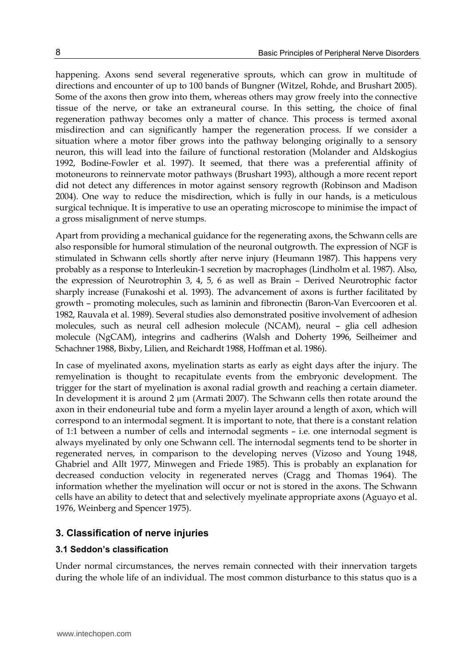happening. Axons send several regenerative sprouts, which can grow in multitude of directions and encounter of up to 100 bands of Bungner (Witzel, Rohde, and Brushart 2005). Some of the axons then grow into them, whereas others may grow freely into the connective tissue of the nerve, or take an extraneural course. In this setting, the choice of final regeneration pathway becomes only a matter of chance. This process is termed axonal misdirection and can significantly hamper the regeneration process. If we consider a situation where a motor fiber grows into the pathway belonging originally to a sensory neuron, this will lead into the failure of functional restoration (Molander and Aldskogius 1992, Bodine-Fowler et al. 1997). It seemed, that there was a preferential affinity of motoneurons to reinnervate motor pathways (Brushart 1993), although a more recent report did not detect any differences in motor against sensory regrowth (Robinson and Madison 2004). One way to reduce the misdirection, which is fully in our hands, is a meticulous surgical technique. It is imperative to use an operating microscope to minimise the impact of a gross misalignment of nerve stumps.

Apart from providing a mechanical guidance for the regenerating axons, the Schwann cells are also responsible for humoral stimulation of the neuronal outgrowth. The expression of NGF is stimulated in Schwann cells shortly after nerve injury (Heumann 1987). This happens very probably as a response to Interleukin-1 secretion by macrophages (Lindholm et al. 1987). Also, the expression of Neurotrophin 3, 4, 5, 6 as well as Brain – Derived Neurotrophic factor sharply increase (Funakoshi et al. 1993). The advancement of axons is further facilitated by growth – promoting molecules, such as laminin and fibronectin (Baron-Van Evercooren et al. 1982, Rauvala et al. 1989). Several studies also demonstrated positive involvement of adhesion molecules, such as neural cell adhesion molecule (NCAM), neural – glia cell adhesion molecule (NgCAM), integrins and cadherins (Walsh and Doherty 1996, Seilheimer and Schachner 1988, Bixby, Lilien, and Reichardt 1988, Hoffman et al. 1986).

In case of myelinated axons, myelination starts as early as eight days after the injury. The remyelination is thought to recapitulate events from the embryonic development. The trigger for the start of myelination is axonal radial growth and reaching a certain diameter. In development it is around  $2 \mu m$  (Armati 2007). The Schwann cells then rotate around the axon in their endoneurial tube and form a myelin layer around a length of axon, which will correspond to an intermodal segment. It is important to note, that there is a constant relation of 1:1 between a number of cells and internodal segments – i.e. one internodal segment is always myelinated by only one Schwann cell. The internodal segments tend to be shorter in regenerated nerves, in comparison to the developing nerves (Vizoso and Young 1948, Ghabriel and Allt 1977, Minwegen and Friede 1985). This is probably an explanation for decreased conduction velocity in regenerated nerves (Cragg and Thomas 1964). The information whether the myelination will occur or not is stored in the axons. The Schwann cells have an ability to detect that and selectively myelinate appropriate axons (Aguayo et al. 1976, Weinberg and Spencer 1975).

# **3. Classification of nerve injuries**

# **3.1 Seddon's classification**

Under normal circumstances, the nerves remain connected with their innervation targets during the whole life of an individual. The most common disturbance to this status quo is a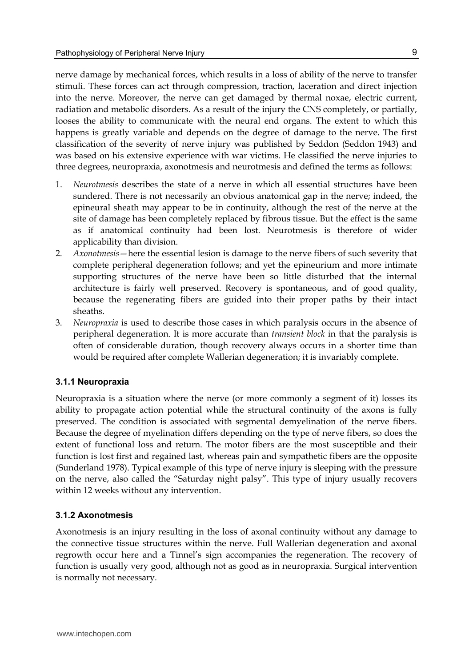nerve damage by mechanical forces, which results in a loss of ability of the nerve to transfer stimuli. These forces can act through compression, traction, laceration and direct injection into the nerve. Moreover, the nerve can get damaged by thermal noxae, electric current, radiation and metabolic disorders. As a result of the injury the CNS completely, or partially, looses the ability to communicate with the neural end organs. The extent to which this happens is greatly variable and depends on the degree of damage to the nerve. The first classification of the severity of nerve injury was published by Seddon (Seddon 1943) and was based on his extensive experience with war victims. He classified the nerve injuries to three degrees, neuropraxia, axonotmesis and neurotmesis and defined the terms as follows:

- 1. *Neurotmesis* describes the state of a nerve in which all essential structures have been sundered. There is not necessarily an obvious anatomical gap in the nerve; indeed, the epineural sheath may appear to be in continuity, although the rest of the nerve at the site of damage has been completely replaced by fibrous tissue. But the effect is the same as if anatomical continuity had been lost. Neurotmesis is therefore of wider applicability than division.
- 2. *Axonotmesis*—here the essential lesion is damage to the nerve fibers of such severity that complete peripheral degeneration follows; and yet the epineurium and more intimate supporting structures of the nerve have been so little disturbed that the internal architecture is fairly well preserved. Recovery is spontaneous, and of good quality, because the regenerating fibers are guided into their proper paths by their intact sheaths.
- 3. *Neuropraxia* is used to describe those cases in which paralysis occurs in the absence of peripheral degeneration. It is more accurate than *transient block* in that the paralysis is often of considerable duration, though recovery always occurs in a shorter time than would be required after complete Wallerian degeneration; it is invariably complete.

#### **3.1.1 Neuropraxia**

Neuropraxia is a situation where the nerve (or more commonly a segment of it) losses its ability to propagate action potential while the structural continuity of the axons is fully preserved. The condition is associated with segmental demyelination of the nerve fibers. Because the degree of myelination differs depending on the type of nerve fibers, so does the extent of functional loss and return. The motor fibers are the most susceptible and their function is lost first and regained last, whereas pain and sympathetic fibers are the opposite (Sunderland 1978). Typical example of this type of nerve injury is sleeping with the pressure on the nerve, also called the "Saturday night palsy". This type of injury usually recovers within 12 weeks without any intervention.

#### **3.1.2 Axonotmesis**

Axonotmesis is an injury resulting in the loss of axonal continuity without any damage to the connective tissue structures within the nerve. Full Wallerian degeneration and axonal regrowth occur here and a Tinnel's sign accompanies the regeneration. The recovery of function is usually very good, although not as good as in neuropraxia. Surgical intervention is normally not necessary.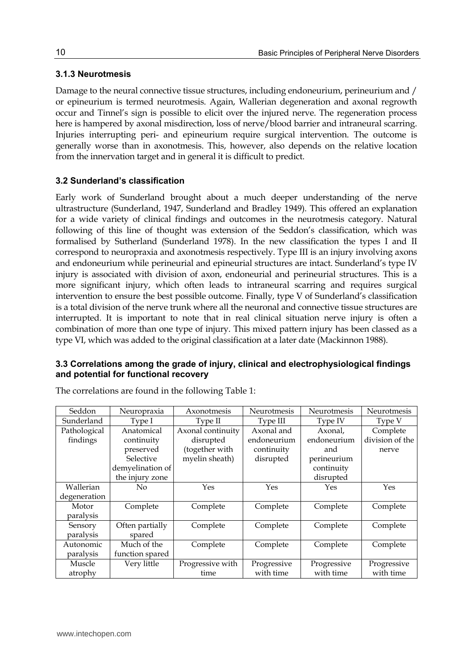# **3.1.3 Neurotmesis**

Damage to the neural connective tissue structures, including endoneurium, perineurium and / or epineurium is termed neurotmesis. Again, Wallerian degeneration and axonal regrowth occur and Tinnel's sign is possible to elicit over the injured nerve. The regeneration process here is hampered by axonal misdirection, loss of nerve/blood barrier and intraneural scarring. Injuries interrupting peri- and epineurium require surgical intervention. The outcome is generally worse than in axonotmesis. This, however, also depends on the relative location from the innervation target and in general it is difficult to predict.

# **3.2 Sunderland's classification**

Early work of Sunderland brought about a much deeper understanding of the nerve ultrastructure (Sunderland, 1947, Sunderland and Bradley 1949). This offered an explanation for a wide variety of clinical findings and outcomes in the neurotmesis category. Natural following of this line of thought was extension of the Seddon's classification, which was formalised by Sutherland (Sunderland 1978). In the new classification the types I and II correspond to neuropraxia and axonotmesis respectively. Type III is an injury involving axons and endoneurium while perineurial and epineurial structures are intact. Sunderland's type IV injury is associated with division of axon, endoneurial and perineurial structures. This is a more significant injury, which often leads to intraneural scarring and requires surgical intervention to ensure the best possible outcome. Finally, type V of Sunderland's classification is a total division of the nerve trunk where all the neuronal and connective tissue structures are interrupted. It is important to note that in real clinical situation nerve injury is often a combination of more than one type of injury. This mixed pattern injury has been classed as a type VI, which was added to the original classification at a later date (Mackinnon 1988).

#### **3.3 Correlations among the grade of injury, clinical and electrophysiological findings and potential for functional recovery**

| Seddon       | Neuropraxia      | Axonotmesis       | Neurotmesis | Neurotmesis | Neurotmesis     |
|--------------|------------------|-------------------|-------------|-------------|-----------------|
| Sunderland   | Type I           | Type II           | Type III    | Type IV     | Type V          |
| Pathological | Anatomical       | Axonal continuity | Axonal and  | Axonal.     | Complete        |
| findings     | continuity       | disrupted         | endoneurium | endoneurium | division of the |
|              | preserved        | (together with    | continuity  | and         | nerve           |
|              | Selective        | myelin sheath)    | disrupted   | perineurium |                 |
|              | demyelination of |                   |             | continuity  |                 |
|              | the injury zone  |                   |             | disrupted   |                 |
| Wallerian    | No               | Yes               | Yes         | Yes         | Yes             |
| degeneration |                  |                   |             |             |                 |
| Motor        | Complete         | Complete          | Complete    | Complete    | Complete        |
| paralysis    |                  |                   |             |             |                 |
| Sensory      | Often partially  | Complete          | Complete    | Complete    | Complete        |
| paralysis    | spared           |                   |             |             |                 |
| Autonomic    | Much of the      | Complete          | Complete    | Complete    | Complete        |
| paralysis    | function spared  |                   |             |             |                 |
| Muscle       | Very little      | Progressive with  | Progressive | Progressive | Progressive     |
| atrophy      |                  | time              | with time   | with time   | with time       |

The correlations are found in the following Table 1: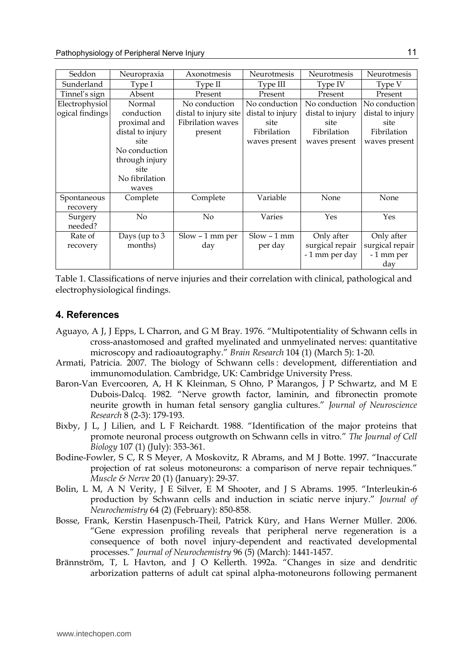| Seddon          | Neuropraxia      | Axonotmesis              | Neurotmesis      | Neurotmesis      | Neurotmesis      |
|-----------------|------------------|--------------------------|------------------|------------------|------------------|
| Sunderland      | Type I           | Type II                  | Type III         | Type IV          | Type V           |
| Tinnel's sign   | Absent           | Present                  | Present          | Present          | Present          |
| Electrophysiol  | Normal           | No conduction            | No conduction    | No conduction    | No conduction    |
| ogical findings | conduction       | distal to injury site    | distal to injury | distal to injury | distal to injury |
|                 | proximal and     | <b>Fibrilation</b> waves | site             | site             | site             |
|                 | distal to injury | present                  | Fibrilation      | Fibrilation      | Fibrilation      |
|                 | site             |                          | waves present    | waves present    | waves present    |
|                 | No conduction    |                          |                  |                  |                  |
|                 | through injury   |                          |                  |                  |                  |
|                 | site             |                          |                  |                  |                  |
|                 | No fibrilation   |                          |                  |                  |                  |
|                 | waves            |                          |                  |                  |                  |
| Spontaneous     | Complete         | Complete                 | Variable         | None             | None             |
| recovery        |                  |                          |                  |                  |                  |
| Surgery         | No               | N <sub>0</sub>           | Varies           | Yes              | Yes              |
| needed?         |                  |                          |                  |                  |                  |
| Rate of         | Days (up to $3$  | $Slow - 1$ mm per        | $Slow - 1$ mm    | Only after       | Only after       |
| recovery        | months)          | day                      | per day          | surgical repair  | surgical repair  |
|                 |                  |                          |                  | - 1 mm per day   | -1 mm per        |
|                 |                  |                          |                  |                  | day              |

Table 1. Classifications of nerve injuries and their correlation with clinical, pathological and electrophysiological findings.

#### **4. References**

- Aguayo, A J, J Epps, L Charron, and G M Bray. 1976. "Multipotentiality of Schwann cells in cross-anastomosed and grafted myelinated and unmyelinated nerves: quantitative microscopy and radioautography." *Brain Research* 104 (1) (March 5): 1-20.
- Armati, Patricia. 2007. The biology of Schwann cells : development, differentiation and immunomodulation. Cambridge, UK: Cambridge University Press.
- Baron-Van Evercooren, A, H K Kleinman, S Ohno, P Marangos, J P Schwartz, and M E Dubois-Dalcq. 1982. "Nerve growth factor, laminin, and fibronectin promote neurite growth in human fetal sensory ganglia cultures." *Journal of Neuroscience Research* 8 (2-3): 179-193.
- Bixby, J L, J Lilien, and L F Reichardt. 1988. "Identification of the major proteins that promote neuronal process outgrowth on Schwann cells in vitro." *The Journal of Cell Biology* 107 (1) (July): 353-361.
- Bodine-Fowler, S C, R S Meyer, A Moskovitz, R Abrams, and M J Botte. 1997. "Inaccurate projection of rat soleus motoneurons: a comparison of nerve repair techniques." *Muscle & Nerve* 20 (1) (January): 29-37.
- Bolin, L M, A N Verity, J E Silver, E M Shooter, and J S Abrams. 1995. "Interleukin-6 production by Schwann cells and induction in sciatic nerve injury." *Journal of Neurochemistry* 64 (2) (February): 850-858.
- Bosse, Frank, Kerstin Hasenpusch-Theil, Patrick Küry, and Hans Werner Müller. 2006. "Gene expression profiling reveals that peripheral nerve regeneration is a consequence of both novel injury-dependent and reactivated developmental processes." *Journal of Neurochemistry* 96 (5) (March): 1441-1457.
- Brännström, T, L Havton, and J O Kellerth. 1992a. "Changes in size and dendritic arborization patterns of adult cat spinal alpha-motoneurons following permanent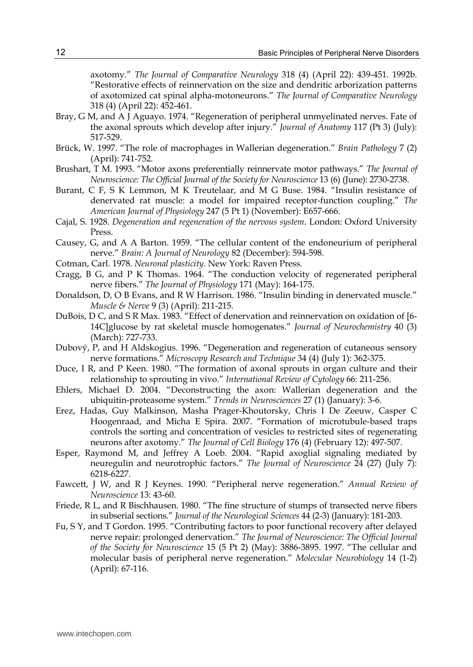axotomy." *The Journal of Comparative Neurology* 318 (4) (April 22): 439-451. 1992b. "Restorative effects of reinnervation on the size and dendritic arborization patterns of axotomized cat spinal alpha-motoneurons." *The Journal of Comparative Neurology* 318 (4) (April 22): 452-461.

- Bray, G M, and  $\overline{A}$  J Aguayo. 1974. "Regeneration of peripheral unmyelinated nerves. Fate of the axonal sprouts which develop after injury." *Journal of Anatomy* 117 (Pt 3) (July): 517-529.
- Brück, W. 1997. "The role of macrophages in Wallerian degeneration." *Brain Pathology* 7 (2) (April): 741-752.
- Brushart, T M. 1993. "Motor axons preferentially reinnervate motor pathways." *The Journal of Neuroscience: The Official Journal of the Society for Neuroscience* 13 (6) (June): 2730-2738.
- Burant, C F, S K Lemmon, M K Treutelaar, and M G Buse. 1984. "Insulin resistance of denervated rat muscle: a model for impaired receptor-function coupling." *The American Journal of Physiology* 247 (5 Pt 1) (November): E657-666.
- Cajal, S. 1928. *Degeneration and regeneration of the nervous system*. London: Oxford University Press.
- Causey, G, and A A Barton. 1959. "The cellular content of the endoneurium of peripheral nerve." *Brain: A Journal of Neurology* 82 (December): 594-598.
- Cotman, Carl. 1978. *Neuronal plasticity*. New York: Raven Press.
- Cragg, B G, and P K Thomas. 1964. "The conduction velocity of regenerated peripheral nerve fibers." *The Journal of Physiology* 171 (May): 164-175.
- Donaldson, D, O B Evans, and R W Harrison. 1986. "Insulin binding in denervated muscle." *Muscle & Nerve* 9 (3) (April): 211-215.
- DuBois, D C, and S R Max. 1983. "Effect of denervation and reinnervation on oxidation of [6- 14C]glucose by rat skeletal muscle homogenates." *Journal of Neurochemistry* 40 (3) (March): 727-733.
- Dubový, P, and H Aldskogius. 1996. "Degeneration and regeneration of cutaneous sensory nerve formations." *Microscopy Research and Technique* 34 (4) (July 1): 362-375.
- Duce, I R, and P Keen. 1980. "The formation of axonal sprouts in organ culture and their relationship to sprouting in vivo." *International Review of Cytology* 66: 211-256.
- Ehlers, Michael D. 2004. "Deconstructing the axon: Wallerian degeneration and the ubiquitin-proteasome system." *Trends in Neurosciences* 27 (1) (January): 3-6.
- Erez, Hadas, Guy Malkinson, Masha Prager-Khoutorsky, Chris I De Zeeuw, Casper C Hoogenraad, and Micha E Spira. 2007. "Formation of microtubule-based traps controls the sorting and concentration of vesicles to restricted sites of regenerating neurons after axotomy." *The Journal of Cell Biology* 176 (4) (February 12): 497-507.
- Esper, Raymond M, and Jeffrey A Loeb. 2004. "Rapid axoglial signaling mediated by neuregulin and neurotrophic factors." *The Journal of Neuroscience* 24 (27) (July 7): 6218-6227.
- Fawcett, J W, and R J Keynes. 1990. "Peripheral nerve regeneration." *Annual Review of Neuroscience* 13: 43-60.
- Friede, R L, and R Bischhausen. 1980. "The fine structure of stumps of transected nerve fibers in subserial sections." *Journal of the Neurological Sciences* 44 (2-3) (January): 181-203.
- Fu, S Y, and T Gordon. 1995. "Contributing factors to poor functional recovery after delayed nerve repair: prolonged denervation." *The Journal of Neuroscience: The Official Journal of the Society for Neuroscience* 15 (5 Pt 2) (May): 3886-3895. 1997. "The cellular and molecular basis of peripheral nerve regeneration." *Molecular Neurobiology* 14 (1-2) (April): 67-116.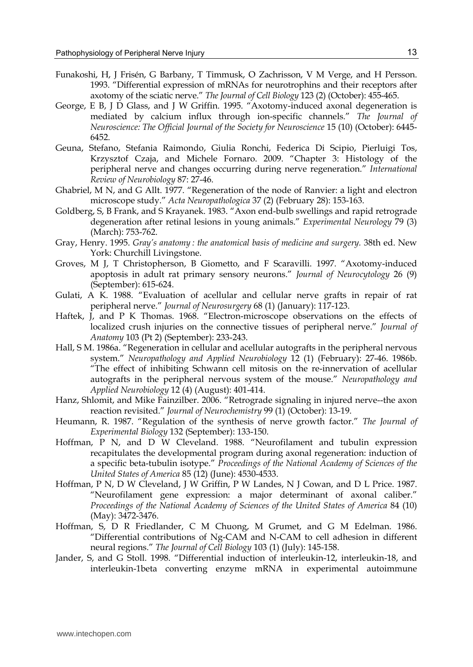- Funakoshi, H, J Frisén, G Barbany, T Timmusk, O Zachrisson, V M Verge, and H Persson. 1993. "Differential expression of mRNAs for neurotrophins and their receptors after axotomy of the sciatic nerve." *The Journal of Cell Biology* 123 (2) (October): 455-465.
- George, E B, J D Glass, and J W Griffin. 1995. "Axotomy-induced axonal degeneration is mediated by calcium influx through ion-specific channels." *The Journal of Neuroscience: The Official Journal of the Society for Neuroscience* 15 (10) (October): 6445- 6452.
- Geuna, Stefano, Stefania Raimondo, Giulia Ronchi, Federica Di Scipio, Pierluigi Tos, Krzysztof Czaja, and Michele Fornaro. 2009. "Chapter 3: Histology of the peripheral nerve and changes occurring during nerve regeneration." *International Review of Neurobiology* 87: 27-46.
- Ghabriel, M N, and G Allt. 1977. "Regeneration of the node of Ranvier: a light and electron microscope study." *Acta Neuropathologica* 37 (2) (February 28): 153-163.
- Goldberg, S, B Frank, and S Krayanek. 1983. "Axon end-bulb swellings and rapid retrograde degeneration after retinal lesions in young animals." *Experimental Neurology* 79 (3) (March): 753-762.
- Gray, Henry. 1995. *Gray's anatomy : the anatomical basis of medicine and surgery.* 38th ed. New York: Churchill Livingstone.
- Groves, M J, T Christopherson, B Giometto, and F Scaravilli. 1997. "Axotomy-induced apoptosis in adult rat primary sensory neurons." *Journal of Neurocytology* 26 (9) (September): 615-624.
- Gulati, A K. 1988. "Evaluation of acellular and cellular nerve grafts in repair of rat peripheral nerve." *Journal of Neurosurgery* 68 (1) (January): 117-123.
- Haftek, J, and P K Thomas. 1968. "Electron-microscope observations on the effects of localized crush injuries on the connective tissues of peripheral nerve." *Journal of Anatomy* 103 (Pt 2) (September): 233-243.
- Hall, S M. 1986a. "Regeneration in cellular and acellular autografts in the peripheral nervous system." *Neuropathology and Applied Neurobiology* 12 (1) (February): 27-46. 1986b. "The effect of inhibiting Schwann cell mitosis on the re-innervation of acellular autografts in the peripheral nervous system of the mouse." *Neuropathology and Applied Neurobiology* 12 (4) (August): 401-414.
- Hanz, Shlomit, and Mike Fainzilber. 2006. "Retrograde signaling in injured nerve--the axon reaction revisited." *Journal of Neurochemistry* 99 (1) (October): 13-19.
- Heumann, R. 1987. "Regulation of the synthesis of nerve growth factor." *The Journal of Experimental Biology* 132 (September): 133-150.
- Hoffman, P N, and D W Cleveland. 1988. "Neurofilament and tubulin expression recapitulates the developmental program during axonal regeneration: induction of a specific beta-tubulin isotype." *Proceedings of the National Academy of Sciences of the United States of America* 85 (12) (June): 4530-4533.
- Hoffman, P N, D W Cleveland, J W Griffin, P W Landes, N J Cowan, and D L Price. 1987. "Neurofilament gene expression: a major determinant of axonal caliber." *Proceedings of the National Academy of Sciences of the United States of America* 84 (10) (May): 3472-3476.
- Hoffman, S, D R Friedlander, C M Chuong, M Grumet, and G M Edelman. 1986. "Differential contributions of Ng-CAM and N-CAM to cell adhesion in different neural regions." *The Journal of Cell Biology* 103 (1) (July): 145-158.
- Jander, S, and G Stoll. 1998. "Differential induction of interleukin-12, interleukin-18, and interleukin-1beta converting enzyme mRNA in experimental autoimmune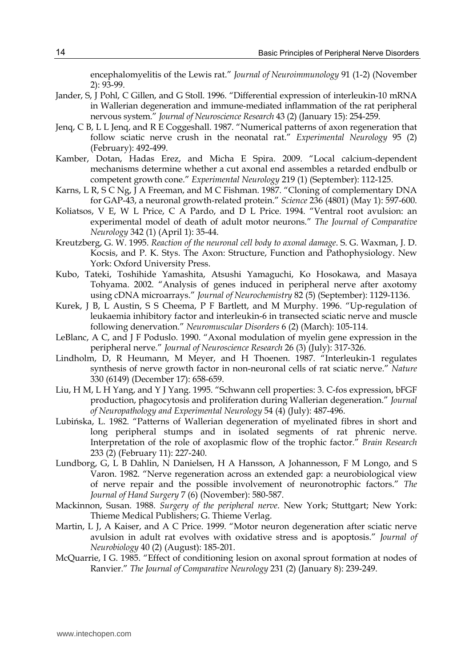encephalomyelitis of the Lewis rat." *Journal of Neuroimmunology* 91 (1-2) (November 2): 93-99.

- Jander, S, J Pohl, C Gillen, and G Stoll. 1996. "Differential expression of interleukin-10 mRNA in Wallerian degeneration and immune-mediated inflammation of the rat peripheral nervous system." *Journal of Neuroscience Research* 43 (2) (January 15): 254-259.
- Jenq, C B, L L Jenq, and R E Coggeshall. 1987. "Numerical patterns of axon regeneration that follow sciatic nerve crush in the neonatal rat." *Experimental Neurology* 95 (2) (February): 492-499.
- Kamber, Dotan, Hadas Erez, and Micha E Spira. 2009. "Local calcium-dependent mechanisms determine whether a cut axonal end assembles a retarded endbulb or competent growth cone." *Experimental Neurology* 219 (1) (September): 112-125.
- Karns, L R, S C Ng, J A Freeman, and M C Fishman. 1987. "Cloning of complementary DNA for GAP-43, a neuronal growth-related protein." *Science* 236 (4801) (May 1): 597-600.
- Koliatsos, V E, W L Price, C A Pardo, and D L Price. 1994. "Ventral root avulsion: an experimental model of death of adult motor neurons." *The Journal of Comparative Neurology* 342 (1) (April 1): 35-44.
- Kreutzberg, G. W. 1995. *Reaction of the neuronal cell body to axonal damage*. S. G. Waxman, J. D. Kocsis, and P. K. Stys. The Axon: Structure, Function and Pathophysiology. New York: Oxford University Press.
- Kubo, Tateki, Toshihide Yamashita, Atsushi Yamaguchi, Ko Hosokawa, and Masaya Tohyama. 2002. "Analysis of genes induced in peripheral nerve after axotomy using cDNA microarrays." *Journal of Neurochemistry* 82 (5) (September): 1129-1136.
- Kurek, J B, L Austin, S S Cheema, P F Bartlett, and M Murphy. 1996. "Up-regulation of leukaemia inhibitory factor and interleukin-6 in transected sciatic nerve and muscle following denervation." *Neuromuscular Disorders* 6 (2) (March): 105-114.
- LeBlanc, A C, and J F Poduslo. 1990. "Axonal modulation of myelin gene expression in the peripheral nerve." *Journal of Neuroscience Research* 26 (3) (July): 317-326.
- Lindholm, D, R Heumann, M Meyer, and H Thoenen. 1987. "Interleukin-1 regulates synthesis of nerve growth factor in non-neuronal cells of rat sciatic nerve." *Nature* 330 (6149) (December 17): 658-659.
- Liu, H M, L H Yang, and Y J Yang. 1995. "Schwann cell properties: 3. C-fos expression, bFGF production, phagocytosis and proliferation during Wallerian degeneration." *Journal of Neuropathology and Experimental Neurology* 54 (4) (July): 487-496.
- Lubińska, L. 1982. "Patterns of Wallerian degeneration of myelinated fibres in short and long peripheral stumps and in isolated segments of rat phrenic nerve. Interpretation of the role of axoplasmic flow of the trophic factor." *Brain Research* 233 (2) (February 11): 227-240.
- Lundborg, G, L B Dahlin, N Danielsen, H A Hansson, A Johannesson, F M Longo, and S Varon. 1982. "Nerve regeneration across an extended gap: a neurobiological view of nerve repair and the possible involvement of neuronotrophic factors." *The Journal of Hand Surgery* 7 (6) (November): 580-587.
- Mackinnon, Susan. 1988. *Surgery of the peripheral nerve*. New York; Stuttgart; New York: Thieme Medical Publishers; G. Thieme Verlag.
- Martin, L J, A Kaiser, and A C Price. 1999. "Motor neuron degeneration after sciatic nerve avulsion in adult rat evolves with oxidative stress and is apoptosis." *Journal of Neurobiology* 40 (2) (August): 185-201.
- McQuarrie, I G. 1985. "Effect of conditioning lesion on axonal sprout formation at nodes of Ranvier." *The Journal of Comparative Neurology* 231 (2) (January 8): 239-249.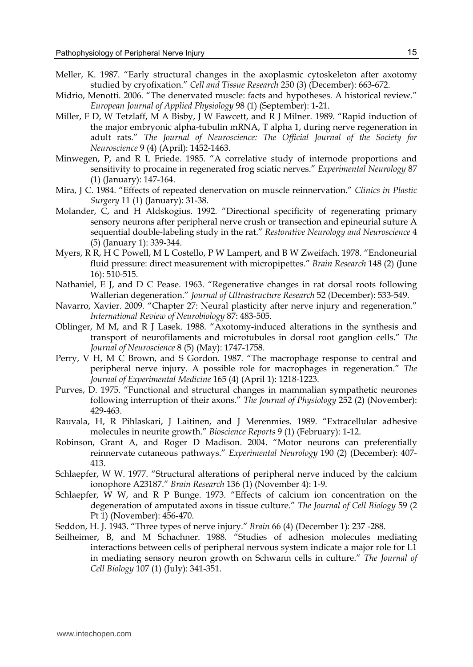- Meller, K. 1987. "Early structural changes in the axoplasmic cytoskeleton after axotomy studied by cryofixation." *Cell and Tissue Research* 250 (3) (December): 663-672.
- Midrio, Menotti. 2006. "The denervated muscle: facts and hypotheses. A historical review." *European Journal of Applied Physiology* 98 (1) (September): 1-21.
- Miller, F D, W Tetzlaff, M A Bisby, J W Fawcett, and R J Milner. 1989. "Rapid induction of the major embryonic alpha-tubulin mRNA, T alpha 1, during nerve regeneration in adult rats." *The Journal of Neuroscience: The Official Journal of the Society for Neuroscience* 9 (4) (April): 1452-1463.
- Minwegen, P, and R L Friede. 1985. "A correlative study of internode proportions and sensitivity to procaine in regenerated frog sciatic nerves." *Experimental Neurology* 87 (1) (January): 147-164.
- Mira, J C. 1984. "Effects of repeated denervation on muscle reinnervation." *Clinics in Plastic Surgery* 11 (1) (January): 31-38.
- Molander, C, and H Aldskogius. 1992. "Directional specificity of regenerating primary sensory neurons after peripheral nerve crush or transection and epineurial suture A sequential double-labeling study in the rat." *Restorative Neurology and Neuroscience* 4 (5) (January 1): 339-344.
- Myers, R R, H C Powell, M L Costello, P W Lampert, and B W Zweifach. 1978. "Endoneurial fluid pressure: direct measurement with micropipettes." *Brain Research* 148 (2) (June 16): 510-515.
- Nathaniel, E J, and D C Pease. 1963. "Regenerative changes in rat dorsal roots following Wallerian degeneration." *Journal of Ultrastructure Research* 52 (December): 533-549.
- Navarro, Xavier. 2009. "Chapter 27: Neural plasticity after nerve injury and regeneration." *International Review of Neurobiology* 87: 483-505.
- Oblinger, M M, and R J Lasek. 1988. "Axotomy-induced alterations in the synthesis and transport of neurofilaments and microtubules in dorsal root ganglion cells." *The Journal of Neuroscience* 8 (5) (May): 1747-1758.
- Perry, V H, M C Brown, and S Gordon. 1987. "The macrophage response to central and peripheral nerve injury. A possible role for macrophages in regeneration." *The Journal of Experimental Medicine* 165 (4) (April 1): 1218-1223.
- Purves, D. 1975. "Functional and structural changes in mammalian sympathetic neurones following interruption of their axons." *The Journal of Physiology* 252 (2) (November): 429-463.
- Rauvala, H, R Pihlaskari, J Laitinen, and J Merenmies. 1989. "Extracellular adhesive molecules in neurite growth." *Bioscience Reports* 9 (1) (February): 1-12.
- Robinson, Grant A, and Roger D Madison. 2004. "Motor neurons can preferentially reinnervate cutaneous pathways." *Experimental Neurology* 190 (2) (December): 407- 413.
- Schlaepfer, W W. 1977. "Structural alterations of peripheral nerve induced by the calcium ionophore A23187." *Brain Research* 136 (1) (November 4): 1-9.
- Schlaepfer, W W, and R P Bunge. 1973. "Effects of calcium ion concentration on the degeneration of amputated axons in tissue culture." *The Journal of Cell Biology* 59 (2 Pt 1) (November): 456-470.
- Seddon, H. J. 1943. "Three types of nerve injury." *Brain* 66 (4) (December 1): 237 -288.
- Seilheimer, B, and M Schachner. 1988. "Studies of adhesion molecules mediating interactions between cells of peripheral nervous system indicate a major role for L1 in mediating sensory neuron growth on Schwann cells in culture." *The Journal of Cell Biology* 107 (1) (July): 341-351.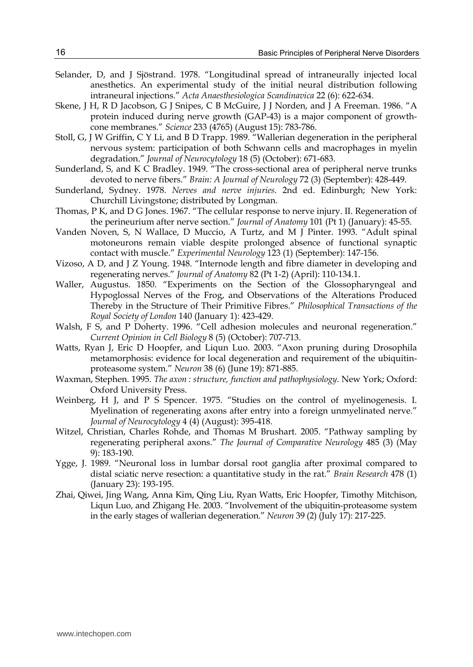- Selander, D, and J Sjöstrand. 1978. "Longitudinal spread of intraneurally injected local anesthetics. An experimental study of the initial neural distribution following intraneural injections." *Acta Anaesthesiologica Scandinavica* 22 (6): 622-634.
- Skene, J H, R D Jacobson, G J Snipes, C B McGuire, J J Norden, and J A Freeman. 1986. "A protein induced during nerve growth (GAP-43) is a major component of growthcone membranes." *Science* 233 (4765) (August 15): 783-786.
- Stoll, G, J W Griffin, C Y Li, and B D Trapp. 1989. "Wallerian degeneration in the peripheral nervous system: participation of both Schwann cells and macrophages in myelin degradation." *Journal of Neurocytology* 18 (5) (October): 671-683.
- Sunderland, S, and K C Bradley. 1949. "The cross-sectional area of peripheral nerve trunks devoted to nerve fibers." *Brain: A Journal of Neurology* 72 (3) (September): 428-449.
- Sunderland, Sydney. 1978. *Nerves and nerve injuries*. 2nd ed. Edinburgh; New York: Churchill Livingstone; distributed by Longman.
- Thomas, P K, and D G Jones. 1967. "The cellular response to nerve injury. II. Regeneration of the perineurium after nerve section." *Journal of Anatomy* 101 (Pt 1) (January): 45-55.
- Vanden Noven, S, N Wallace, D Muccio, A Turtz, and M J Pinter. 1993. "Adult spinal motoneurons remain viable despite prolonged absence of functional synaptic contact with muscle." *Experimental Neurology* 123 (1) (September): 147-156.
- Vizoso, A D, and J Z Young. 1948. "Internode length and fibre diameter in developing and regenerating nerves." *Journal of Anatomy* 82 (Pt 1-2) (April): 110-134.1.
- Waller, Augustus. 1850. "Experiments on the Section of the Glossopharyngeal and Hypoglossal Nerves of the Frog, and Observations of the Alterations Produced Thereby in the Structure of Their Primitive Fibres." *Philosophical Transactions of the Royal Society of London* 140 (January 1): 423-429.
- Walsh, F S, and P Doherty. 1996. "Cell adhesion molecules and neuronal regeneration." *Current Opinion in Cell Biology* 8 (5) (October): 707-713.
- Watts, Ryan J, Eric D Hoopfer, and Liqun Luo. 2003. "Axon pruning during Drosophila metamorphosis: evidence for local degeneration and requirement of the ubiquitinproteasome system." *Neuron* 38 (6) (June 19): 871-885.
- Waxman, Stephen. 1995. *The axon : structure, function and pathophysiology*. New York; Oxford: Oxford University Press.
- Weinberg, H J, and P S Spencer. 1975. "Studies on the control of myelinogenesis. I. Myelination of regenerating axons after entry into a foreign unmyelinated nerve." *Journal of Neurocytology* 4 (4) (August): 395-418.
- Witzel, Christian, Charles Rohde, and Thomas M Brushart. 2005. "Pathway sampling by regenerating peripheral axons." *The Journal of Comparative Neurology* 485 (3) (May 9): 183-190.
- Ygge, J. 1989. "Neuronal loss in lumbar dorsal root ganglia after proximal compared to distal sciatic nerve resection: a quantitative study in the rat." *Brain Research* 478 (1) (January 23): 193-195.
- Zhai, Qiwei, Jing Wang, Anna Kim, Qing Liu, Ryan Watts, Eric Hoopfer, Timothy Mitchison, Liqun Luo, and Zhigang He. 2003. "Involvement of the ubiquitin-proteasome system in the early stages of wallerian degeneration." *Neuron* 39 (2) (July 17): 217-225.